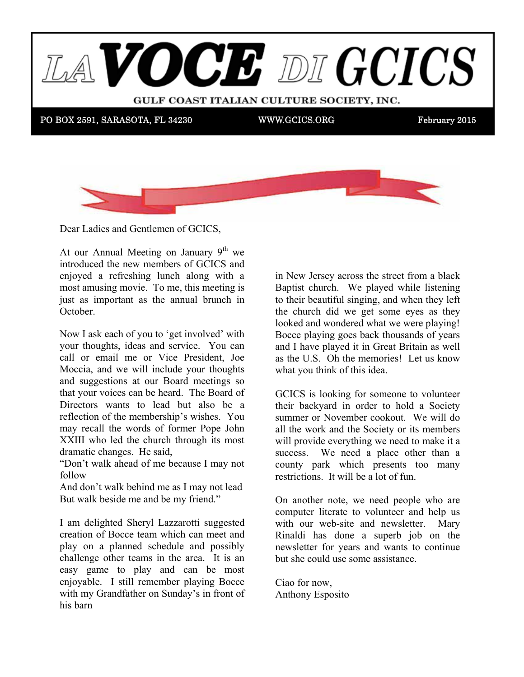

that should make it easier to handle this process in a more Dear Ladies and Gentlemen of GCICS,

At our Annual Meeting on January  $9<sup>th</sup>$  we introduced the new members of GCICS and enjoyed a refreshing lunch along with a enjoyed a forceming ration atom with most amusing movie. To me, this meeting is just as important as the annual brunch in October.

Now I ask each of you to 'get involved' with your thoughts, ideas and service. You can Moccia, and we will include your thoughts  $\mu_{\text{total}}$  and we will include your thought. and suggestions at our Board meetings so that your voices can be heard. The Board of Directors wants to lead but also be a reflection of the membership's wishes. You may recall the words of former Pope John dramatic changes. He said, call or email me or Vice President, Joe XXIII who led the church through its most

"Don't walk ahead of me because I may not follow

And don't walk behind me as I may not lead But walk beside me and be my friend."

I am delighted Sheryl Lazzarotti suggested creation of Bocce team which can meet and play on a planned schedule and possibly challenge other teams in the area. It is an easy game to play and can be most  $\frac{1}{2}$  his barn  $\overline{\text{m}}$  band enjoyable. I still remember playing Bocce with my Grandfather on Sunday's in front of in New Jersey across the street from a black and Piccologies are selected from a back<br>Baptist church. We played while listening to their beautiful singing, and when they left the church did we get some eyes as they looked and wondered what we were playing! Bocce playing goes back thousands of years and I have played it in Great Britain as well as the U.S. Oh the memories! Let us know as the 0.5. On the memories. Let us know<br>what you think of this idea.

GCICS is looking for someone to volunteer their backyard in order to hold a Society summer or November cookout. We will do all the work and the Society or its members will provide everything we need to make it a success. We need a place other than a county park which presents too many restrictions. It will be a lot of fun.

On another note, we need people who are  $\epsilon$  computer literate to volunteer and help us eventually the through and the through January. Which our web-site and newsletter. Mary Rinaldi has done a superb job on the but she could use some assistance. newsletter for years and wants to continue

Ciao for now, 2 N. Tamiami Trail, Suite 500 Anthony Esposito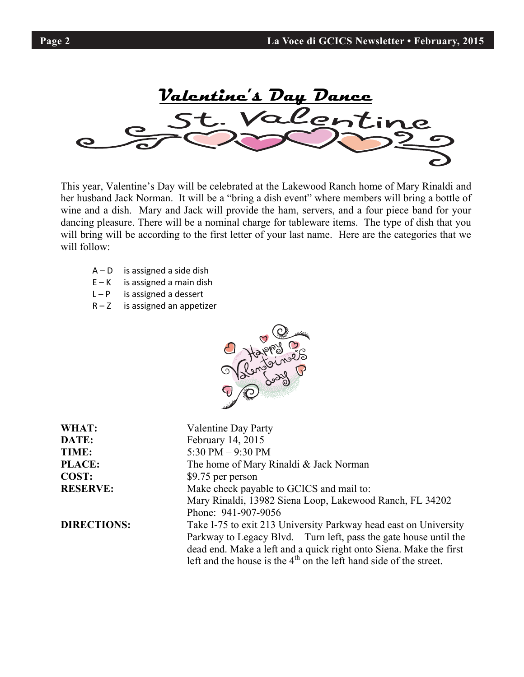Valentine's Day Dance<br>5t. Valentine  $\mathbf \Theta$ 

This year, Valentine's Day will be celebrated at the Lakewood Ranch home of Mary Rinaldi and her husband Jack Norman. It will be a "bring a dish event" where members will bring a bottle of wine and a dish. Mary and Jack will provide the ham, servers, and a four piece band for your dancing pleasure. There will be a nominal charge for tableware items. The type of dish that you will bring will be according to the first letter of your last name. Here are the categories that we will follow:

- $A D$  is assigned a side dish
- $E K$  is assigned a main dish
- $L P$  is assigned a dessert
- $R Z$  is assigned an appetizer



| WHAT:              | <b>Valentine Day Party</b>                                           |  |
|--------------------|----------------------------------------------------------------------|--|
| DATE:              | February 14, 2015                                                    |  |
| TIME:              | 5:30 PM $-9:30$ PM                                                   |  |
| <b>PLACE:</b>      | The home of Mary Rinaldi & Jack Norman                               |  |
| COST:              | \$9.75 per person                                                    |  |
| <b>RESERVE:</b>    | Make check payable to GCICS and mail to:                             |  |
|                    | Mary Rinaldi, 13982 Siena Loop, Lakewood Ranch, FL 34202             |  |
|                    | Phone: 941-907-9056                                                  |  |
| <b>DIRECTIONS:</b> | Take I-75 to exit 213 University Parkway head east on University     |  |
|                    | Parkway to Legacy Blvd. Turn left, pass the gate house until the     |  |
|                    | dead end. Make a left and a quick right onto Siena. Make the first   |  |
|                    | left and the house is the $4th$ on the left hand side of the street. |  |
|                    |                                                                      |  |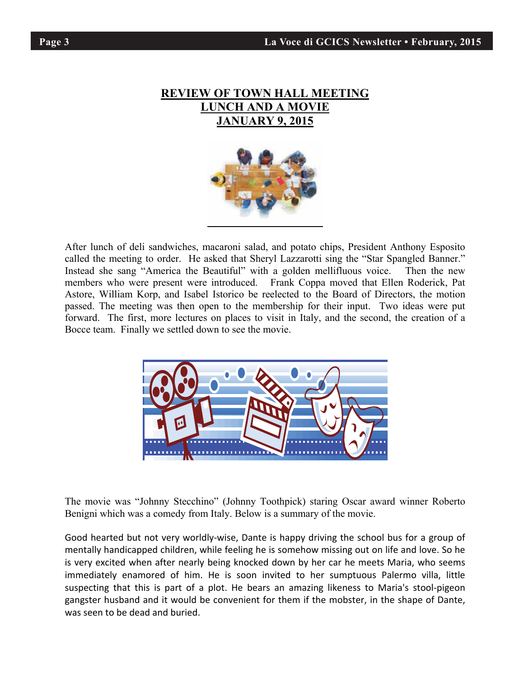## **REVIEW OF TOWN HALL MEETING LUNCH AND A MOVIE JANUARY 9, 2015**



After lunch of deli sandwiches, macaroni salad, and potato chips, President Anthony Esposito called the meeting to order. He asked that Sheryl Lazzarotti sing the "Star Spangled Banner." Instead she sang "America the Beautiful" with a golden mellifluous voice. Then the new members who were present were introduced. Frank Coppa moved that Ellen Roderick, Pat Astore, William Korp, and Isabel Istorico be reelected to the Board of Directors, the motion passed. The meeting was then open to the membership for their input. Two ideas were put forward. The first, more lectures on places to visit in Italy, and the second, the creation of a Bocce team. Finally we settled down to see the movie.



The movie was "Johnny Stecchino" (Johnny Toothpick) staring Oscar award winner Roberto Benigni which was a comedy from Italy. Below is a summary of the movie.

Good hearted but not very worldly-wise, Dante is happy driving the school bus for a group of mentally handicapped children, while feeling he is somehow missing out on life and love. So he is very excited when after nearly being knocked down by her car he meets Maria, who seems immediately enamored of him. He is soon invited to her sumptuous Palermo villa, little suspecting that this is part of a plot. He bears an amazing likeness to Maria's stool-pigeon gangster husband and it would be convenient for them if the mobster, in the shape of Dante, was seen to be dead and buried.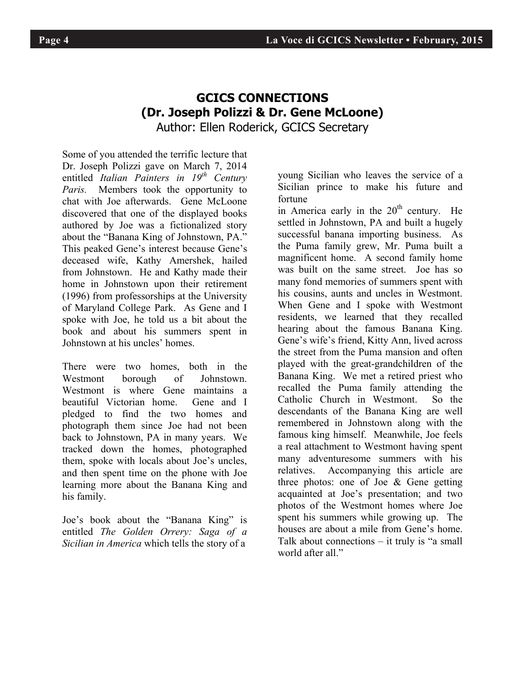# **GCICS CONNECTIONS (Dr. Joseph Polizzi & Dr. Gene McLoone)**

Author: Ellen Roderick, GCICS Secretary

Some of you attended the terrific lecture that Dr. Joseph Polizzi gave on March 7, 2014 entitled *Italian Painters in 19<sup>th</sup> Century Paris.* Members took the opportunity to chat with Joe afterwards. Gene McLoone discovered that one of the displayed books authored by Joe was a fictionalized story about the "Banana King of Johnstown, PA." This peaked Gene's interest because Gene's deceased wife, Kathy Amershek, hailed from Johnstown. He and Kathy made their home in Johnstown upon their retirement (1996) from professorships at the University of Maryland College Park. As Gene and I spoke with Joe, he told us a bit about the book and about his summers spent in Johnstown at his uncles' homes.

There were two homes, both in the Westmont borough of Johnstown. Westmont is where Gene maintains a beautiful Victorian home. Gene and I pledged to find the two homes and photograph them since Joe had not been back to Johnstown, PA in many years. We tracked down the homes, photographed them, spoke with locals about Joe's uncles, and then spent time on the phone with Joe learning more about the Banana King and his family.

Joe's book about the "Banana King" is entitled *The Golden Orrery: Saga of a Sicilian in America* which tells the story of a

young Sicilian who leaves the service of a Sicilian prince to make his future and fortune

in America early in the  $20<sup>th</sup>$  century. He settled in Johnstown, PA and built a hugely successful banana importing business. As the Puma family grew, Mr. Puma built a magnificent home. A second family home was built on the same street. Joe has so many fond memories of summers spent with his cousins, aunts and uncles in Westmont. When Gene and I spoke with Westmont residents, we learned that they recalled hearing about the famous Banana King. Gene's wife's friend, Kitty Ann, lived across the street from the Puma mansion and often played with the great-grandchildren of the Banana King. We met a retired priest who recalled the Puma family attending the Catholic Church in Westmont. So the descendants of the Banana King are well remembered in Johnstown along with the famous king himself. Meanwhile, Joe feels a real attachment to Westmont having spent many adventuresome summers with his relatives. Accompanying this article are three photos: one of Joe & Gene getting acquainted at Joe's presentation; and two photos of the Westmont homes where Joe spent his summers while growing up. The houses are about a mile from Gene's home. Talk about connections – it truly is "a small world after all."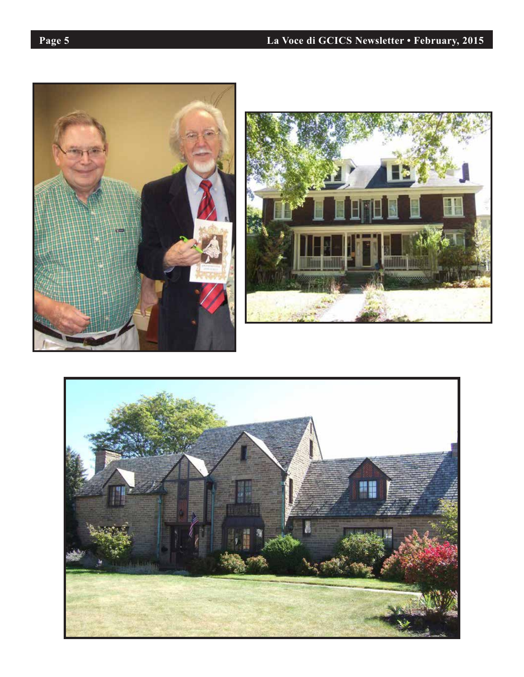



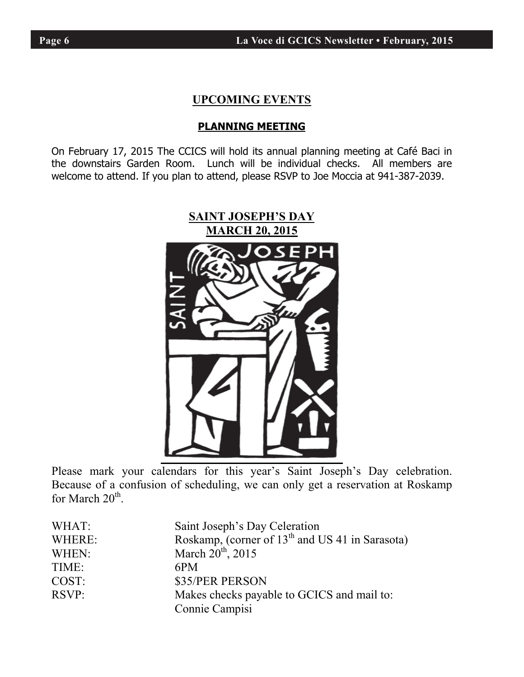## **UPCOMING EVENTS**

### **PLANNING MEETING**

On February 17, 2015 The CCICS will hold its annual planning meeting at Café Baci in the downstairs Garden Room. Lunch will be individual checks. All members are welcome to attend. If you plan to attend, please RSVP to Joe Moccia at 941-387-2039.



Please mark your calendars for this year's Saint Joseph's Day celebration. Because of a confusion of scheduling, we can only get a reservation at Roskamp for March  $20<sup>th</sup>$ .

| WHAT:  | Saint Joseph's Day Celeration                               |
|--------|-------------------------------------------------------------|
| WHERE: | Roskamp, (corner of 13 <sup>th</sup> and US 41 in Sarasota) |
| WHEN:  | March 20 <sup>th</sup> , 2015                               |
| TIME:  | 6PM                                                         |
| COST:  | \$35/PER PERSON                                             |
| RSVP:  | Makes checks payable to GCICS and mail to:                  |
|        | Connie Campisi                                              |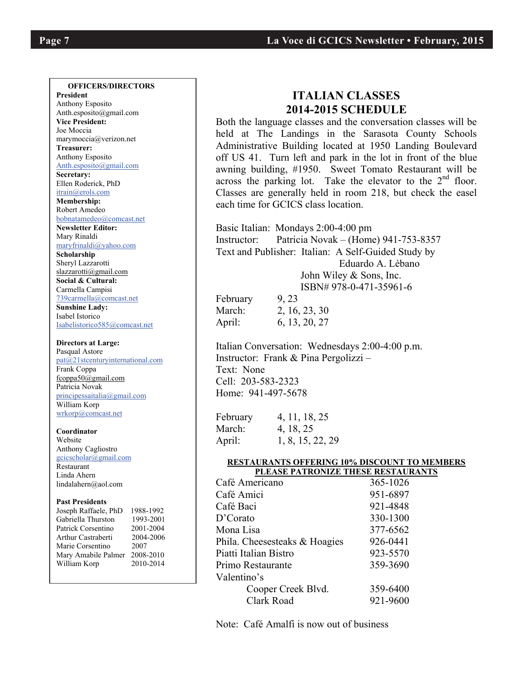٦

#### **OFFICERS/DIRECTORS**

**President**  Anthony Esposito Anth.esposito@gmail.com **Vice President:** Joe Moccia marymoccia@verizon.net **Treasurer:**  Anthony Esposito Anth.esposito@gmail.com **Secretary:**  Ellen Roderick, PhD itrain@erols.com **Membership:** Robert Amedeo bobnatamedeo@comcast.net **Newsletter Editor:** Mary Rinaldi maryfrinaldi@yahoo.com **Scholarship**  Sheryl Lazzarotti slazzarotti@gmail.com **Social & Cultural:** Carmella Campisi 739carmella@comcast.net **Sunshine Lady:**  Isabel Istorico Isabelistorico585@comcast.net

### **Directors at Large:**

Pasqual Astore pat@21stcenturyinternational.com Frank Coppa fcoppa50@gmail.com Patricia Novak principessaitalia@gmail.com William Korp wrkorp@comcast.net

**Coordinator** Website Anthony Cagliostro gcicscholar@gmail.com Restaurant Linda Ahern lindalahern@aol.com

#### **Past Presidents**

| Joseph Raffaele, PhD | 1988-1992 |
|----------------------|-----------|
| Gabriella Thurston   | 1993-2001 |
| Patrick Corsentino   | 2001-2004 |
| Arthur Castraberti   | 2004-2006 |
| Marie Corsentino     | 2007      |
| Mary Amabile Palmer  | 2008-2010 |
| William Korp         | 2010-2014 |
|                      |           |

## **ITALIAN CLASSES 2014-2015 SCHEDULE**

Both the language classes and the conversation classes will be held at The Landings in the Sarasota County Schools Administrative Building located at 1950 Landing Boulevard off US 41. Turn left and park in the lot in front of the blue awning building, #1950. Sweet Tomato Restaurant will be across the parking lot. Take the elevator to the  $2<sup>nd</sup>$  floor. Classes are generally held in room 218, but check the easel each time for GCICS class location.

Basic Italian: Mondays 2:00-4:00 pm Instructor: Patricia Novak – (Home) 941-753-8357 Text and Publisher: Italian: A Self-Guided Study by Eduardo A. Lèbano John Wiley & Sons, Inc. ISBN# 978-0-471-35961-6 February 9, 23 March: 2, 16, 23, 30 April: 6, 13, 20, 27

Italian Conversation: Wednesdays 2:00-4:00 p.m. Instructor: Frank & Pina Pergolizzi – Text: None Cell: 203-583-2323 Home: 941-497-5678

| February | 4, 11, 18, 25    |
|----------|------------------|
| March:   | 4, 18, 25        |
| April:   | 1, 8, 15, 22, 29 |

#### **RESTAURANTS OFFERING 10% DISCOUNT TO MEMBERS PLEASE PATRONIZE THESE RESTAURANTS**

| TLEASE FATRUNIZE THESE RESTAURA |          |
|---------------------------------|----------|
| Café Americano                  | 365-1026 |
| Café Amici                      | 951-6897 |
| Café Baci                       | 921-4848 |
| D'Corato                        | 330-1300 |
| Mona Lisa                       | 377-6562 |
| Phila. Cheesesteaks & Hoagies   | 926-0441 |
| Piatti Italian Bistro           | 923-5570 |
| Primo Restaurante               | 359-3690 |
| Valentino's                     |          |
| Cooper Creek Blvd.              | 359-6400 |
| Clark Road                      | 921-9600 |
|                                 |          |

Note: Café Amalfi is now out of business